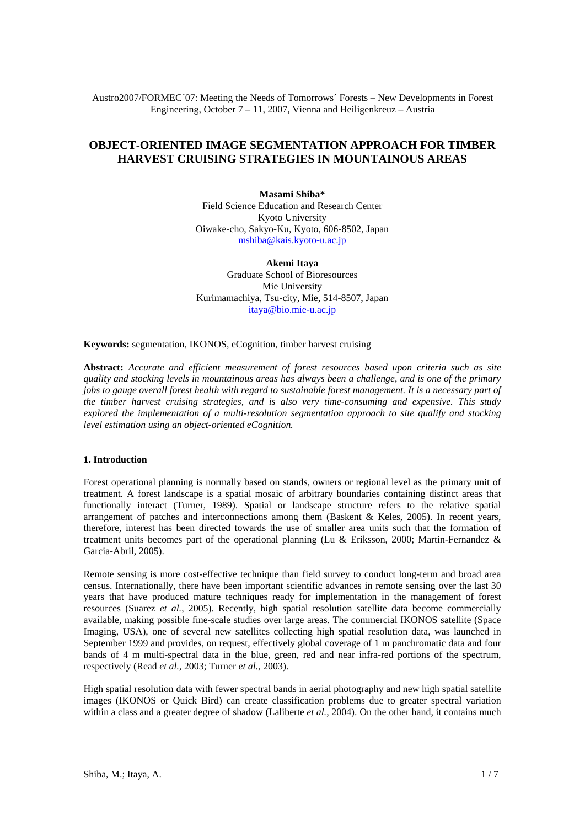Austro2007/FORMEC´07: Meeting the Needs of Tomorrows´ Forests – New Developments in Forest Engineering, October  $7 - 11$ , 2007, Vienna and Heiligenkreuz – Austria

# **OBJECT-ORIENTED IMAGE SEGMENTATION APPROACH FOR TIMBER HARVEST CRUISING STRATEGIES IN MOUNTAINOUS AREAS**

**Masami Shiba\*** Field Science Education and Research Center Kyoto University Oiwake-cho, Sakyo-Ku, Kyoto, 606-8502, Japan mshiba@kais.kyoto-u.ac.jp

**Akemi Itaya** Graduate School of Bioresources Mie University Kurimamachiya, Tsu-city, Mie, 514-8507, Japan itaya@bio.mie-u.ac.jp

**Keywords:** segmentation, IKONOS, eCognition, timber harvest cruising

**Abstract:** *Accurate and efficient measurement of forest resources based upon criteria such as site quality and stocking levels in mountainous areas has always been a challenge, and is one of the primary jobs to gauge overall forest health with regard to sustainable forest management. It is a necessary part of the timber harvest cruising strategies, and is also very time-consuming and expensive. This study explored the implementation of a multi-resolution segmentation approach to site qualify and stocking level estimation using an object-oriented eCognition.*

## **1. Introduction**

Forest operational planning is normally based on stands, owners or regional level as the primary unit of treatment. A forest landscape is a spatial mosaic of arbitrary boundaries containing distinct areas that functionally interact (Turner, 1989). Spatial or landscape structure refers to the relative spatial arrangement of patches and interconnections among them (Baskent & Keles, 2005). In recent years, therefore, interest has been directed towards the use of smaller area units such that the formation of treatment units becomes part of the operational planning (Lu & Eriksson, 2000; Martin-Fernandez & Garcia-Abril, 2005).

Remote sensing is more cost-effective technique than field survey to conduct long-term and broad area census. Internationally, there have been important scientific advances in remote sensing over the last 30 years that have produced mature techniques ready for implementation in the management of forest resources (Suarez *et al.*, 2005). Recently, high spatial resolution satellite data become commercially available, making possible fine-scale studies over large areas. The commercial IKONOS satellite (Space Imaging, USA), one of several new satellites collecting high spatial resolution data, was launched in September 1999 and provides, on request, effectively global coverage of 1 m panchromatic data and four bands of 4 m multi-spectral data in the blue, green, red and near infra-red portions of the spectrum, respectively (Read *et al.*, 2003; Turner *et al.*, 2003).

High spatial resolution data with fewer spectral bands in aerial photography and new high spatial satellite images (IKONOS or Quick Bird) can create classification problems due to greater spectral variation within a class and a greater degree of shadow (Laliberte *et al.*, 2004). On the other hand, it contains much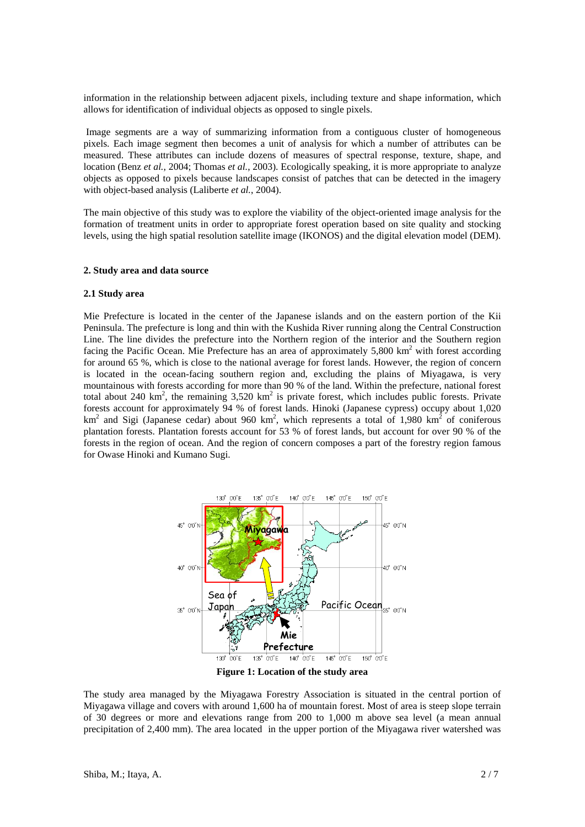information in the relationship between adjacent pixels, including texture and shape information, which allows for identification of individual objects as opposed to single pixels.

 Image segments are a way of summarizing information from a contiguous cluster of homogeneous pixels. Each image segment then becomes a unit of analysis for which a number of attributes can be measured. These attributes can include dozens of measures of spectral response, texture, shape, and location (Benz *et al.*, 2004; Thomas *et al.*, 2003). Ecologically speaking, it is more appropriate to analyze objects as opposed to pixels because landscapes consist of patches that can be detected in the imagery with object-based analysis (Laliberte *et al.*, 2004).

The main objective of this study was to explore the viability of the object-oriented image analysis for the formation of treatment units in order to appropriate forest operation based on site quality and stocking levels, using the high spatial resolution satellite image (IKONOS) and the digital elevation model (DEM).

#### **2. Study area and data source**

#### **2.1 Study area**

Mie Prefecture is located in the center of the Japanese islands and on the eastern portion of the Kii Peninsula. The prefecture is long and thin with the Kushida River running along the Central Construction Line. The line divides the prefecture into the Northern region of the interior and the Southern region facing the Pacific Ocean. Mie Prefecture has an area of approximately  $5,800 \text{ km}^2$  with forest according for around 65 %, which is close to the national average for forest lands. However, the region of concern is located in the ocean-facing southern region and, excluding the plains of Miyagawa, is very mountainous with forests according for more than 90 % of the land. Within the prefecture, national forest total about 240 km<sup>2</sup>, the remaining  $3,520$  km<sup>2</sup> is private forest, which includes public forests. Private forests account for approximately 94 % of forest lands. Hinoki (Japanese cypress) occupy about 1,020 km<sup>2</sup> and Sigi (Japanese cedar) about 960 km<sup>2</sup>, which represents a total of 1,980 km<sup>2</sup> of coniferous plantation forests. Plantation forests account for 53 % of forest lands, but account for over 90 % of the forests in the region of ocean. And the region of concern composes a part of the forestry region famous for Owase Hinoki and Kumano Sugi.



**Figure 1: Location of the study area** 

The study area managed by the Miyagawa Forestry Association is situated in the central portion of Miyagawa village and covers with around 1,600 ha of mountain forest. Most of area is steep slope terrain of 30 degrees or more and elevations range from 200 to 1,000 m above sea level (a mean annual precipitation of 2,400 mm). The area located in the upper portion of the Miyagawa river watershed was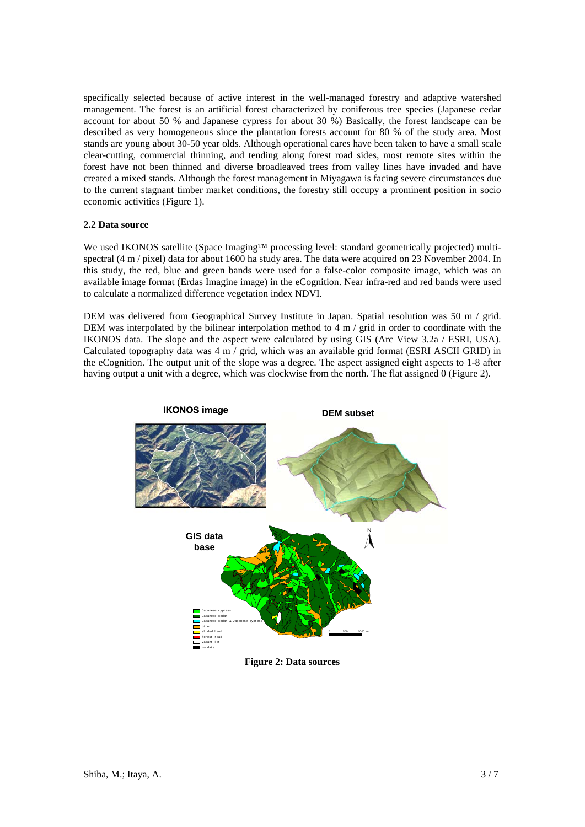specifically selected because of active interest in the well-managed forestry and adaptive watershed management. The forest is an artificial forest characterized by coniferous tree species (Japanese cedar account for about 50 % and Japanese cypress for about 30 %) Basically, the forest landscape can be described as very homogeneous since the plantation forests account for 80 % of the study area. Most stands are young about 30-50 year olds. Although operational cares have been taken to have a small scale clear-cutting, commercial thinning, and tending along forest road sides, most remote sites within the forest have not been thinned and diverse broadleaved trees from valley lines have invaded and have created a mixed stands. Although the forest management in Miyagawa is facing severe circumstances due to the current stagnant timber market conditions, the forestry still occupy a prominent position in socio economic activities (Figure 1).

# **2.2 Data source**

We used IKONOS satellite (Space Imaging™ processing level: standard geometrically projected) multispectral (4 m / pixel) data for about 1600 ha study area. The data were acquired on 23 November 2004. In this study, the red, blue and green bands were used for a false-color composite image, which was an available image format (Erdas Imagine image) in the eCognition. Near infra-red and red bands were used to calculate a normalized difference vegetation index NDVI.

DEM was delivered from Geographical Survey Institute in Japan. Spatial resolution was 50 m / grid. DEM was interpolated by the bilinear interpolation method to 4 m / grid in order to coordinate with the IKONOS data. The slope and the aspect were calculated by using GIS (Arc View 3.2a / ESRI, USA). Calculated topography data was  $4 \text{ m} / \text{ grid}$ , which was an available grid format (ESRI ASCII GRID) in the eCognition. The output unit of the slope was a degree. The aspect assigned eight aspects to 1-8 after having output a unit with a degree, which was clockwise from the north. The flat assigned 0 (Figure 2).



**Figure 2: Data sources**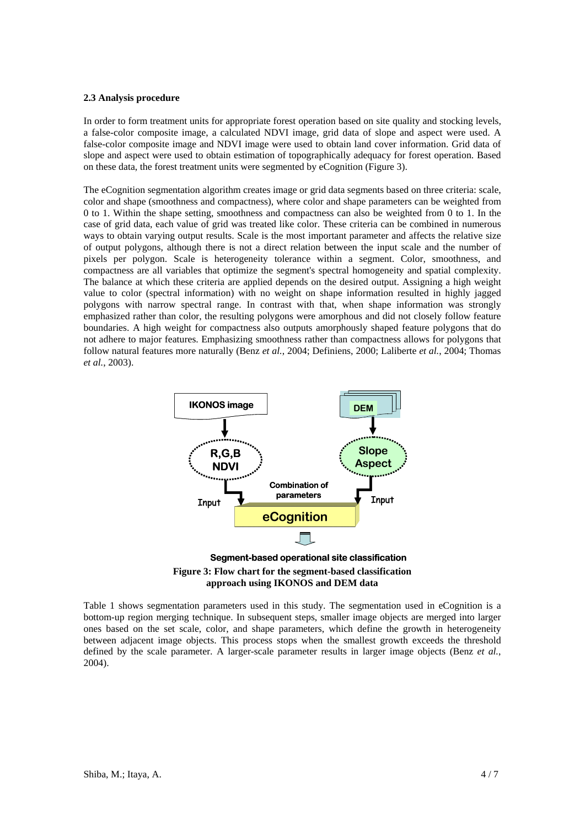### **2.3 Analysis procedure**

In order to form treatment units for appropriate forest operation based on site quality and stocking levels, a false-color composite image, a calculated NDVI image, grid data of slope and aspect were used. A false-color composite image and NDVI image were used to obtain land cover information. Grid data of slope and aspect were used to obtain estimation of topographically adequacy for forest operation. Based on these data, the forest treatment units were segmented by eCognition (Figure 3).

The eCognition segmentation algorithm creates image or grid data segments based on three criteria: scale, color and shape (smoothness and compactness), where color and shape parameters can be weighted from 0 to 1. Within the shape setting, smoothness and compactness can also be weighted from 0 to 1. In the case of grid data, each value of grid was treated like color. These criteria can be combined in numerous ways to obtain varying output results. Scale is the most important parameter and affects the relative size of output polygons, although there is not a direct relation between the input scale and the number of pixels per polygon. Scale is heterogeneity tolerance within a segment. Color, smoothness, and compactness are all variables that optimize the segment's spectral homogeneity and spatial complexity. The balance at which these criteria are applied depends on the desired output. Assigning a high weight value to color (spectral information) with no weight on shape information resulted in highly jagged polygons with narrow spectral range. In contrast with that, when shape information was strongly emphasized rather than color, the resulting polygons were amorphous and did not closely follow feature boundaries. A high weight for compactness also outputs amorphously shaped feature polygons that do not adhere to major features. Emphasizing smoothness rather than compactness allows for polygons that follow natural features more naturally (Benz *et al.*, 2004; Definiens, 2000; Laliberte *et al.*, 2004; Thomas *et al.*, 2003).



**Figure 3: Flow chart for the segment-based classification approach using IKONOS and DEM data** 

Table 1 shows segmentation parameters used in this study. The segmentation used in eCognition is a bottom-up region merging technique. In subsequent steps, smaller image objects are merged into larger ones based on the set scale, color, and shape parameters, which define the growth in heterogeneity between adjacent image objects. This process stops when the smallest growth exceeds the threshold defined by the scale parameter. A larger-scale parameter results in larger image objects (Benz *et al.*, 2004).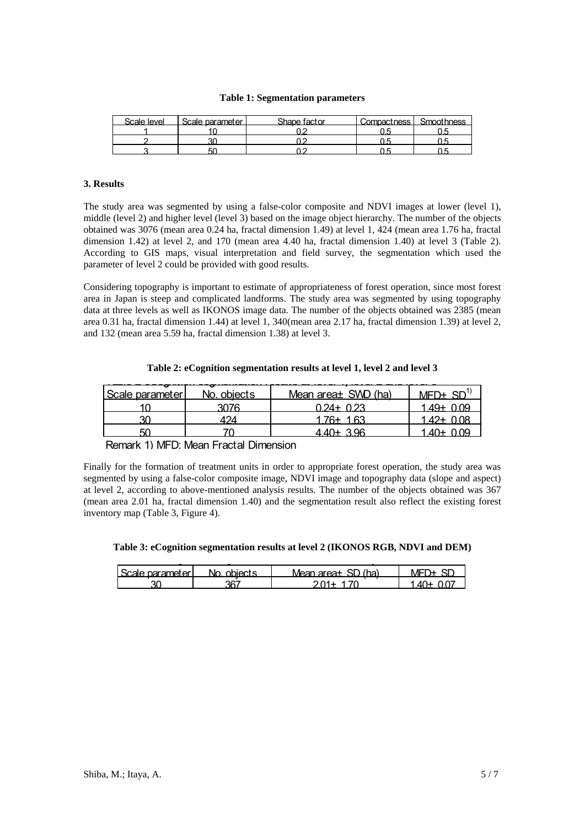### **Table 1: Segmentation parameters**

| Scale Jevel | -Scale narameter L | Shane factor | Compactness L. Smoothness |
|-------------|--------------------|--------------|---------------------------|
|             |                    |              |                           |
|             |                    |              |                           |
|             | 50                 |              |                           |

# **3. Results**

The study area was segmented by using a false-color composite and NDVI images at lower (level 1), middle (level 2) and higher level (level 3) based on the image object hierarchy. The number of the objects obtained was 3076 (mean area 0.24 ha, fractal dimension 1.49) at level 1, 424 (mean area 1.76 ha, fractal dimension 1.42) at level 2, and 170 (mean area 4.40 ha, fractal dimension 1.40) at level 3 (Table 2). According to GIS maps, visual interpretation and field survey, the segmentation which used the parameter of level 2 could be provided with good results.

Considering topography is important to estimate of appropriateness of forest operation, since most forest area in Japan is steep and complicated landforms. The study area was segmented by using topography data at three levels as well as IKONOS image data. The number of the objects obtained was 2385 (mean area 0.31 ha, fractal dimension 1.44) at level 1, 340(mean area 2.17 ha, fractal dimension 1.39) at level 2, and 132 (mean area 5.59 ha, fractal dimension 1.38) at level 3.

| Table 2: eCognition segmentation results at level 1, level 2 and level 3 |  |  |
|--------------------------------------------------------------------------|--|--|
|                                                                          |  |  |

| <b>l</b> Scale parameter l | No. objects | Mean area± SWD (ha) | $MFD+$ SD    |
|----------------------------|-------------|---------------------|--------------|
|                            | 3076        | $0.24 + 0.23$       | 1.49+ 0.09   |
|                            |             | $176+163$           | 1.42+ $0.08$ |
|                            |             | $440+396$           | 1.40+ 0.09   |

Remark 1) MFD: Mean Fractal Dimension

Finally for the formation of treatment units in order to appropriate forest operation, the study area was segmented by using a false-color composite image, NDVI image and topography data (slope and aspect) at level 2, according to above-mentioned analysis results. The number of the objects obtained was 367 (mean area 2.01 ha, fractal dimension 1.40) and the segmentation result also reflect the existing forest inventory map (Table 3, Figure 4).

**Table 3: eCognition segmentation results at level 2 (IKONOS RGB, NDVI and DEM)** 

| l Scale narameterli | No objects | Mean area+ SD (ha) |        |
|---------------------|------------|--------------------|--------|
|                     | ־26        |                    | ⊥ו / ∧ |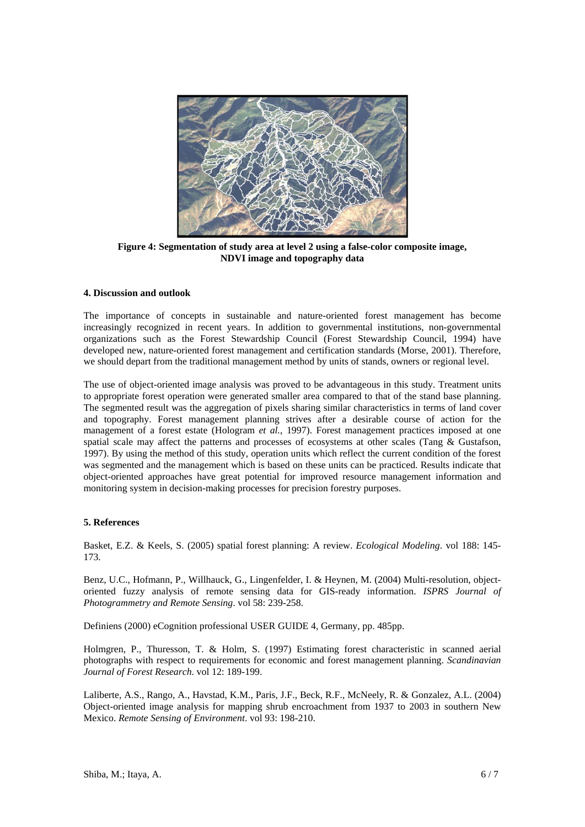

**Figure 4: Segmentation of study area at level 2 using a false-color composite image, NDVI image and topography data** 

# **4. Discussion and outlook**

The importance of concepts in sustainable and nature-oriented forest management has become increasingly recognized in recent years. In addition to governmental institutions, non-governmental organizations such as the Forest Stewardship Council (Forest Stewardship Council, 1994) have developed new, nature-oriented forest management and certification standards (Morse, 2001). Therefore, we should depart from the traditional management method by units of stands, owners or regional level.

The use of object-oriented image analysis was proved to be advantageous in this study. Treatment units to appropriate forest operation were generated smaller area compared to that of the stand base planning. The segmented result was the aggregation of pixels sharing similar characteristics in terms of land cover and topography. Forest management planning strives after a desirable course of action for the management of a forest estate (Hologram *et al.*, 1997). Forest management practices imposed at one spatial scale may affect the patterns and processes of ecosystems at other scales (Tang & Gustafson, 1997). By using the method of this study, operation units which reflect the current condition of the forest was segmented and the management which is based on these units can be practiced. Results indicate that object-oriented approaches have great potential for improved resource management information and monitoring system in decision-making processes for precision forestry purposes.

# **5. References**

Basket, E.Z. & Keels, S. (2005) spatial forest planning: A review. *Ecological Modeling*. vol 188: 145- 173.

Benz, U.C., Hofmann, P., Willhauck, G., Lingenfelder, I. & Heynen, M. (2004) Multi-resolution, objectoriented fuzzy analysis of remote sensing data for GIS-ready information. *ISPRS Journal of Photogrammetry and Remote Sensing*. vol 58: 239-258.

Definiens (2000) eCognition professional USER GUIDE 4, Germany, pp. 485pp.

Holmgren, P., Thuresson, T. & Holm, S. (1997) Estimating forest characteristic in scanned aerial photographs with respect to requirements for economic and forest management planning. *Scandinavian Journal of Forest Research*. vol 12: 189-199.

Laliberte, A.S., Rango, A., Havstad, K.M., Paris, J.F., Beck, R.F., McNeely, R. & Gonzalez, A.L. (2004) Object-oriented image analysis for mapping shrub encroachment from 1937 to 2003 in southern New Mexico. *Remote Sensing of Environment*. vol 93: 198-210.